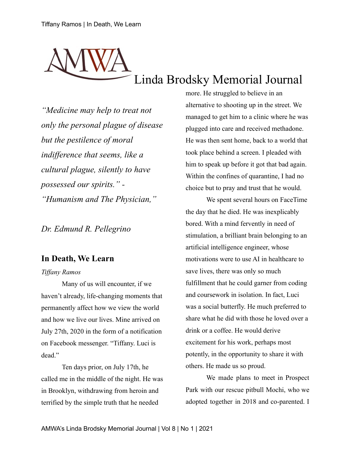## Linda Brodsky Memorial Journal

*"Medicine may help to treat not only the personal plague of disease but the pestilence of moral indifference that seems, like a cultural plague, silently to have possessed our spirits." - "Humanism and The Physician,"*

*Dr. Edmund R. Pellegrino*

## **In Death, We Learn**

## *Tiffany Ramos*

Many of us will encounter, if we haven't already, life-changing moments that permanently affect how we view the world and how we live our lives. Mine arrived on July 27th, 2020 in the form of a notification on Facebook messenger. "Tiffany. Luci is dead."

Ten days prior, on July 17th, he called me in the middle of the night. He was in Brooklyn, withdrawing from heroin and terrified by the simple truth that he needed

more. He struggled to believe in an alternative to shooting up in the street. We managed to get him to a clinic where he was plugged into care and received methadone. He was then sent home, back to a world that took place behind a screen. I pleaded with him to speak up before it got that bad again. Within the confines of quarantine, I had no choice but to pray and trust that he would.

We spent several hours on FaceTime the day that he died. He was inexplicably bored. With a mind fervently in need of stimulation, a brilliant brain belonging to an artificial intelligence engineer, whose motivations were to use AI in healthcare to save lives, there was only so much fulfillment that he could garner from coding and coursework in isolation. In fact, Luci was a social butterfly. He much preferred to share what he did with those he loved over a drink or a coffee. He would derive excitement for his work, perhaps most potently, in the opportunity to share it with others. He made us so proud.

We made plans to meet in Prospect Park with our rescue pitbull Mochi, who we adopted together in 2018 and co-parented. I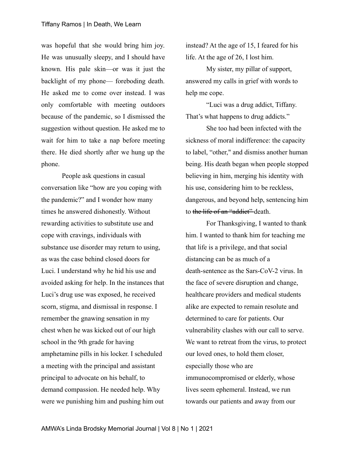was hopeful that she would bring him joy. He was unusually sleepy, and I should have known. His pale skin—or was it just the backlight of my phone— foreboding death. He asked me to come over instead. I was only comfortable with meeting outdoors because of the pandemic, so I dismissed the suggestion without question. He asked me to wait for him to take a nap before meeting there. He died shortly after we hung up the phone.

People ask questions in casual conversation like "how are you coping with the pandemic?" and I wonder how many times he answered dishonestly. Without rewarding activities to substitute use and cope with cravings, individuals with substance use disorder may return to using, as was the case behind closed doors for Luci. I understand why he hid his use and avoided asking for help. In the instances that Luci's drug use was exposed, he received scorn, stigma, and dismissal in response. I remember the gnawing sensation in my chest when he was kicked out of our high school in the 9th grade for having amphetamine pills in his locker. I scheduled a meeting with the principal and assistant principal to advocate on his behalf, to demand compassion. He needed help. Why were we punishing him and pushing him out

instead? At the age of 15, I feared for his life. At the age of 26, I lost him.

My sister, my pillar of support, answered my calls in grief with words to help me cope.

"Luci was a drug addict, Tiffany. That's what happens to drug addicts."

She too had been infected with the sickness of moral indifference: the capacity to label, "other," and dismiss another human being. His death began when people stopped believing in him, merging his identity with his use, considering him to be reckless, dangerous, and beyond help, sentencing him to the life of an "addiet" death.

For Thanksgiving, I wanted to thank him. I wanted to thank him for teaching me that life is a privilege, and that social distancing can be as much of a death-sentence as the Sars-CoV-2 virus. In the face of severe disruption and change, healthcare providers and medical students alike are expected to remain resolute and determined to care for patients. Our vulnerability clashes with our call to serve. We want to retreat from the virus, to protect our loved ones, to hold them closer, especially those who are immunocompromised or elderly, whose lives seem ephemeral. Instead, we run towards our patients and away from our